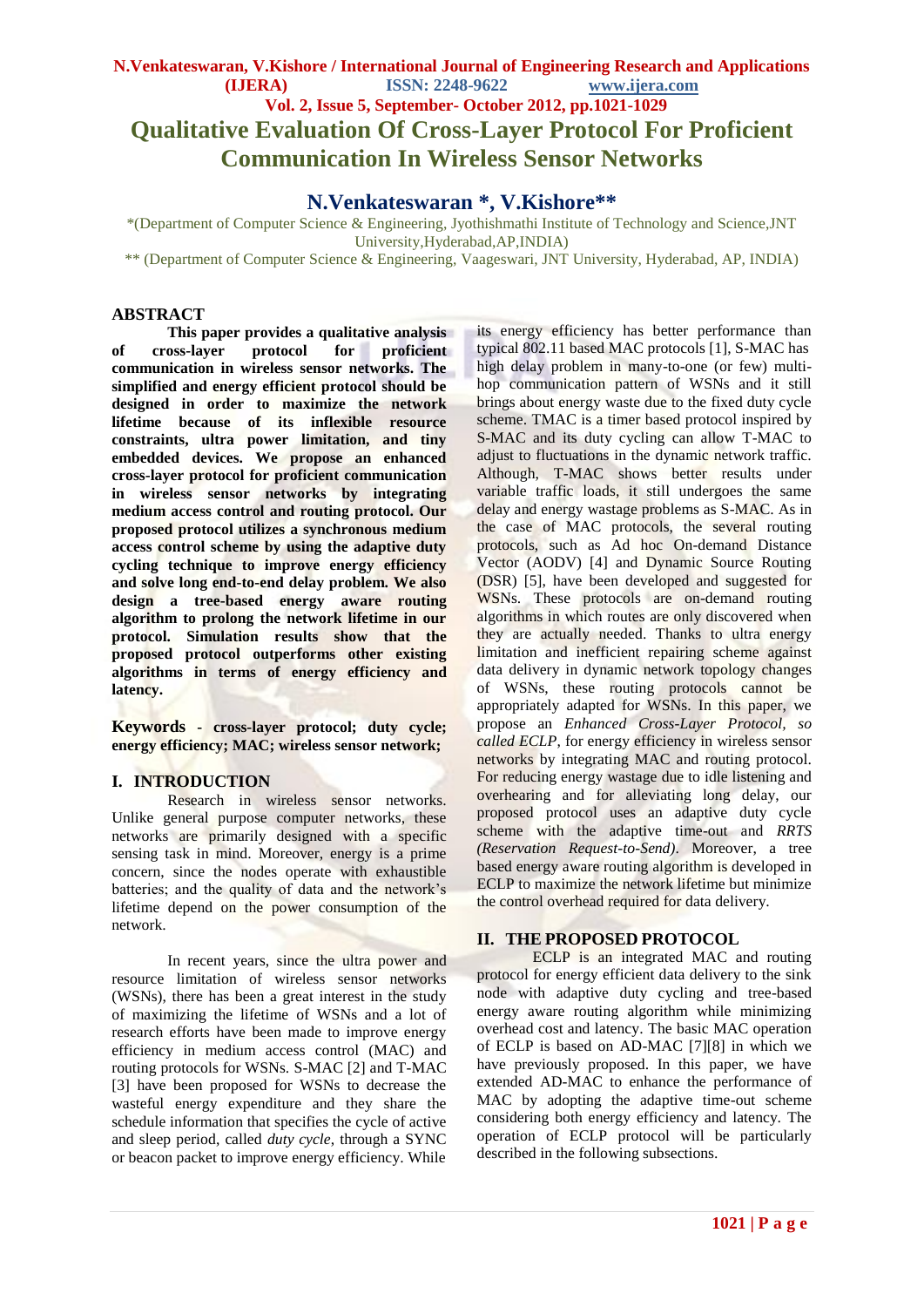# **N.Venkateswaran, V.Kishore / International Journal of Engineering Research and Applications (IJERA) ISSN: 2248-9622 www.ijera.com Vol. 2, Issue 5, September- October 2012, pp.1021-1029 Qualitative Evaluation Of Cross-Layer Protocol For Proficient Communication In Wireless Sensor Networks**

# **N.Venkateswaran \*, V.Kishore\*\***

\*(Department of Computer Science & Engineering, Jyothishmathi Institute of Technology and Science,JNT University,Hyderabad,AP,INDIA)

\*\* (Department of Computer Science & Engineering, Vaageswari, JNT University, Hyderabad, AP, INDIA)

# **ABSTRACT**

**This paper provides a qualitative analysis**  of cross-layer protocol **communication in wireless sensor networks. The simplified and energy efficient protocol should be designed in order to maximize the network lifetime because of its inflexible resource constraints, ultra power limitation, and tiny embedded devices. We propose an enhanced cross-layer protocol for proficient communication in wireless sensor networks by integrating medium access control and routing protocol. Our proposed protocol utilizes a synchronous medium access control scheme by using the adaptive duty cycling technique to improve energy efficiency and solve long end-to-end delay problem. We also design a tree-based energy aware routing algorithm to prolong the network lifetime in our protocol. Simulation results show that the proposed protocol outperforms other existing algorithms in terms of energy efficiency and latency.**

**Keywords - cross-layer protocol; duty cycle; energy efficiency; MAC; wireless sensor network;**

## **I. INTRODUCTION**

Research in wireless sensor networks. Unlike general purpose computer networks, these networks are primarily designed with a specific sensing task in mind. Moreover, energy is a prime concern, since the nodes operate with exhaustible batteries; and the quality of data and the network's lifetime depend on the power consumption of the network.

In recent years, since the ultra power and resource limitation of wireless sensor networks (WSNs), there has been a great interest in the study of maximizing the lifetime of WSNs and a lot of research efforts have been made to improve energy efficiency in medium access control (MAC) and routing protocols for WSNs. S-MAC [2] and T-MAC [3] have been proposed for WSNs to decrease the wasteful energy expenditure and they share the schedule information that specifies the cycle of active and sleep period, called *duty cycle*, through a SYNC or beacon packet to improve energy efficiency. While

its energy efficiency has better performance than typical 802.11 based MAC protocols [1], S-MAC has high delay problem in many-to-one (or few) multihop communication pattern of WSNs and it still brings about energy waste due to the fixed duty cycle scheme. TMAC is a timer based protocol inspired by S-MAC and its duty cycling can allow T-MAC to adjust to fluctuations in the dynamic network traffic. Although, T-MAC shows better results under variable traffic loads, it still undergoes the same delay and energy wastage problems as S-MAC. As in the case of MAC protocols, the several routing protocols, such as Ad hoc On-demand Distance Vector (AODV) [4] and Dynamic Source Routing (DSR) [5], have been developed and suggested for WSNs. These protocols are on-demand routing algorithms in which routes are only discovered when they are actually needed. Thanks to ultra energy limitation and inefficient repairing scheme against data delivery in dynamic network topology changes of WSNs, these routing protocols cannot be appropriately adapted for WSNs. In this paper, we propose an *Enhanced Cross-Layer Protocol, so called ECLP*, for energy efficiency in wireless sensor networks by integrating MAC and routing protocol. For reducing energy wastage due to idle listening and overhearing and for alleviating long delay, our proposed protocol uses an adaptive duty cycle scheme with the adaptive time-out and *RRTS (Reservation Request-to-Send)*. Moreover, a tree based energy aware routing algorithm is developed in ECLP to maximize the network lifetime but minimize the control overhead required for data delivery.

## **II. THE PROPOSED PROTOCOL**

ECLP is an integrated MAC and routing protocol for energy efficient data delivery to the sink node with adaptive duty cycling and tree-based energy aware routing algorithm while minimizing overhead cost and latency. The basic MAC operation of ECLP is based on AD-MAC [7][8] in which we have previously proposed. In this paper, we have extended AD-MAC to enhance the performance of MAC by adopting the adaptive time-out scheme considering both energy efficiency and latency. The operation of ECLP protocol will be particularly described in the following subsections.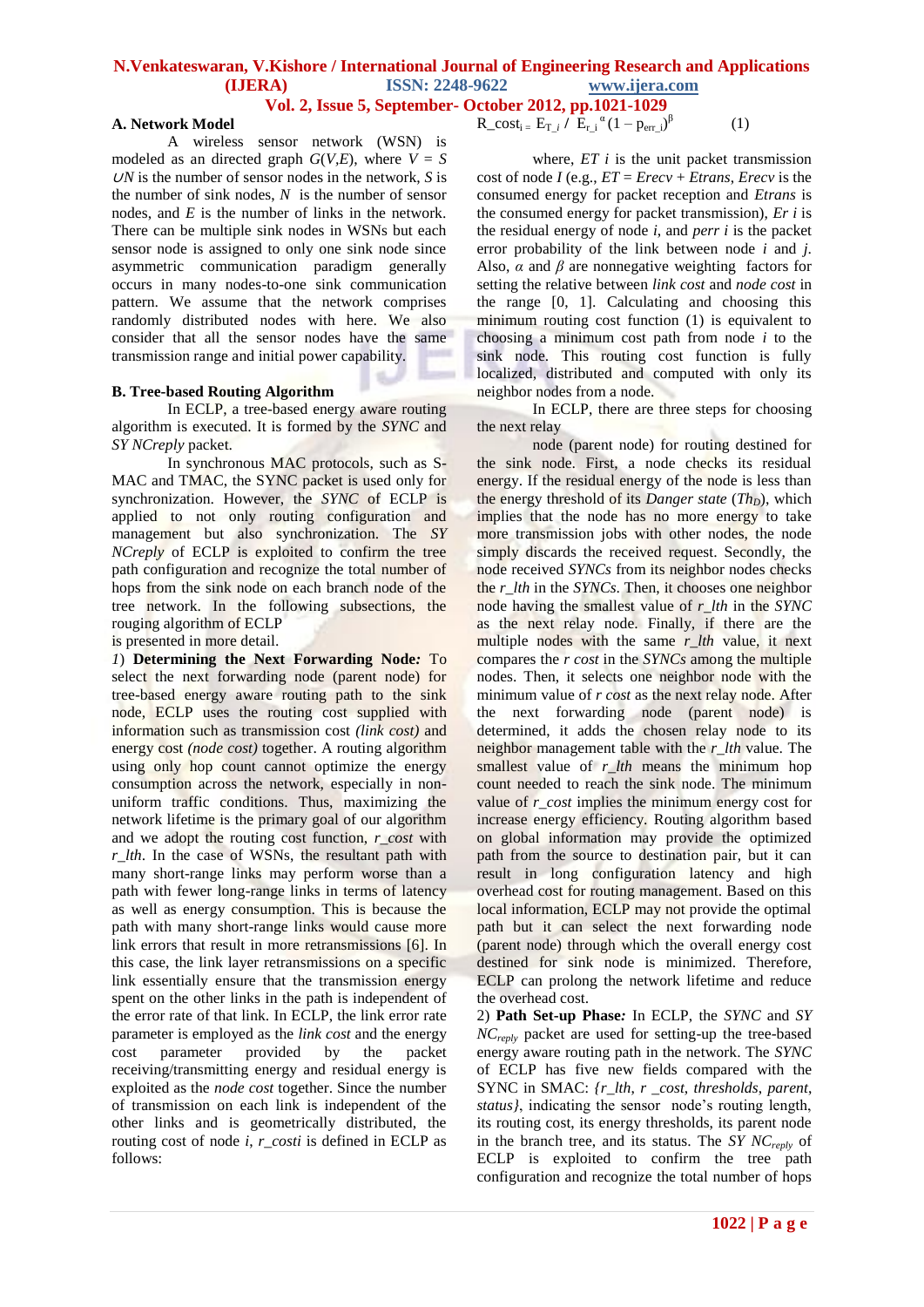## **N.Venkateswaran, V.Kishore / International Journal of Engineering Research and Applications (IJERA) ISSN: 2248-9622 www.ijera.com**

 **Vol. 2, Issue 5, September- October 2012, pp.1021-1029**

# **A. Network Model**

A wireless sensor network (WSN) is modeled as an directed graph  $G(V,E)$ , where  $V = S$ <sup>∪</sup>*N* is the number of sensor nodes in the network, *S* is the number of sink nodes, *N* is the number of sensor nodes, and *E* is the number of links in the network. There can be multiple sink nodes in WSNs but each sensor node is assigned to only one sink node since asymmetric communication paradigm generally occurs in many nodes-to-one sink communication pattern. We assume that the network comprises randomly distributed nodes with here. We also consider that all the sensor nodes have the same transmission range and initial power capability.

#### **B. Tree-based Routing Algorithm**

In ECLP, a tree-based energy aware routing algorithm is executed. It is formed by the *SYNC* and *SY NCreply* packet.

In synchronous MAC protocols, such as S-MAC and TMAC, the SYNC packet is used only for synchronization. However, the *SYNC* of ECLP is applied to not only routing configuration and management but also synchronization. The *SY NCreply* of ECLP is exploited to confirm the tree path configuration and recognize the total number of hops from the sink node on each branch node of the tree network. In the following subsections, the rouging algorithm of ECLP

is presented in more detail.

*1*) **Determining the Next Forwarding Node***:* To select the next forwarding node (parent node) for tree-based energy aware routing path to the sink node, ECLP uses the routing cost supplied with information such as transmission cost *(link cost)* and energy cost *(node cost)* together. A routing algorithm using only hop count cannot optimize the energy consumption across the network, especially in nonuniform traffic conditions. Thus, maximizing the network lifetime is the primary goal of our algorithm and we adopt the routing cost function, *r\_cost* with *r\_lth*. In the case of WSNs, the resultant path with many short-range links may perform worse than a path with fewer long-range links in terms of latency as well as energy consumption. This is because the path with many short-range links would cause more link errors that result in more retransmissions [6]. In this case, the link layer retransmissions on a specific link essentially ensure that the transmission energy spent on the other links in the path is independent of the error rate of that link. In ECLP, the link error rate parameter is employed as the *link cost* and the energy cost parameter provided by the packet receiving/transmitting energy and residual energy is exploited as the *node cost* together. Since the number of transmission on each link is independent of the other links and is geometrically distributed, the routing cost of node *i*, *r\_costi* is defined in ECLP as follows:

cost: For 
$$
f = \frac{P_1 P_2}{P_1}
$$
 and  $f = \frac{P_2}{P_2}$ 

 $R_{\text{cost}_i = E_{T_i} / E_{r_i}^{\alpha} (1 - p_{err_i})$  $(1)$ 

where, *ET i* is the unit packet transmission cost of node *I* (e.g.,  $ET = Erecv + Etrans$ , *Erecv* is the consumed energy for packet reception and *Etrans* is the consumed energy for packet transmission), *Er i* is the residual energy of node *i*, and *perr i* is the packet error probability of the link between node *i* and *j*. Also, *α* and *β* are nonnegative weighting factors for setting the relative between *link cost* and *node cost* in the range [0, 1]. Calculating and choosing this minimum routing cost function (1) is equivalent to choosing a minimum cost path from node *i* to the sink node. This routing cost function is fully localized, distributed and computed with only its neighbor nodes from a node.

In ECLP, there are three steps for choosing the next relay

node (parent node) for routing destined for the sink node. First, a node checks its residual energy. If the residual energy of the node is less than the energy threshold of its *Danger state* (*Th<sub>D</sub>*), which implies that the node has no more energy to take more transmission jobs with other nodes, the node simply discards the received request. Secondly, the node received *SYNCs* from its neighbor nodes checks the *r\_lth* in the *SYNCs*. Then, it chooses one neighbor node having the smallest value of *r\_lth* in the *SYNC*  as the next relay node. Finally, if there are the multiple nodes with the same *r\_lth* value, it next compares the *r cost* in the *SYNCs* among the multiple nodes. Then, it selects one neighbor node with the minimum value of *r cost* as the next relay node. After the next forwarding node (parent node) is determined, it adds the chosen relay node to its neighbor management table with the *r\_lth* value. The smallest value of *r\_lth* means the minimum hop count needed to reach the sink node. The minimum value of *r* cost implies the minimum energy cost for increase energy efficiency. Routing algorithm based on global information may provide the optimized path from the source to destination pair, but it can result in long configuration latency and high overhead cost for routing management. Based on this local information, ECLP may not provide the optimal path but it can select the next forwarding node (parent node) through which the overall energy cost destined for sink node is minimized. Therefore, ECLP can prolong the network lifetime and reduce the overhead cost.

2) **Path Set-up Phase***:* In ECLP, the *SYNC* and *SY NCreply* packet are used for setting-up the tree-based energy aware routing path in the network. The *SYNC*  of ECLP has five new fields compared with the SYNC in SMAC: *{r\_lth*, *r \_cost*, *thresholds*, *parent*, *status}*, indicating the sensor node's routing length, its routing cost, its energy thresholds, its parent node in the branch tree, and its status. The *SY NCreply* of ECLP is exploited to confirm the tree path configuration and recognize the total number of hops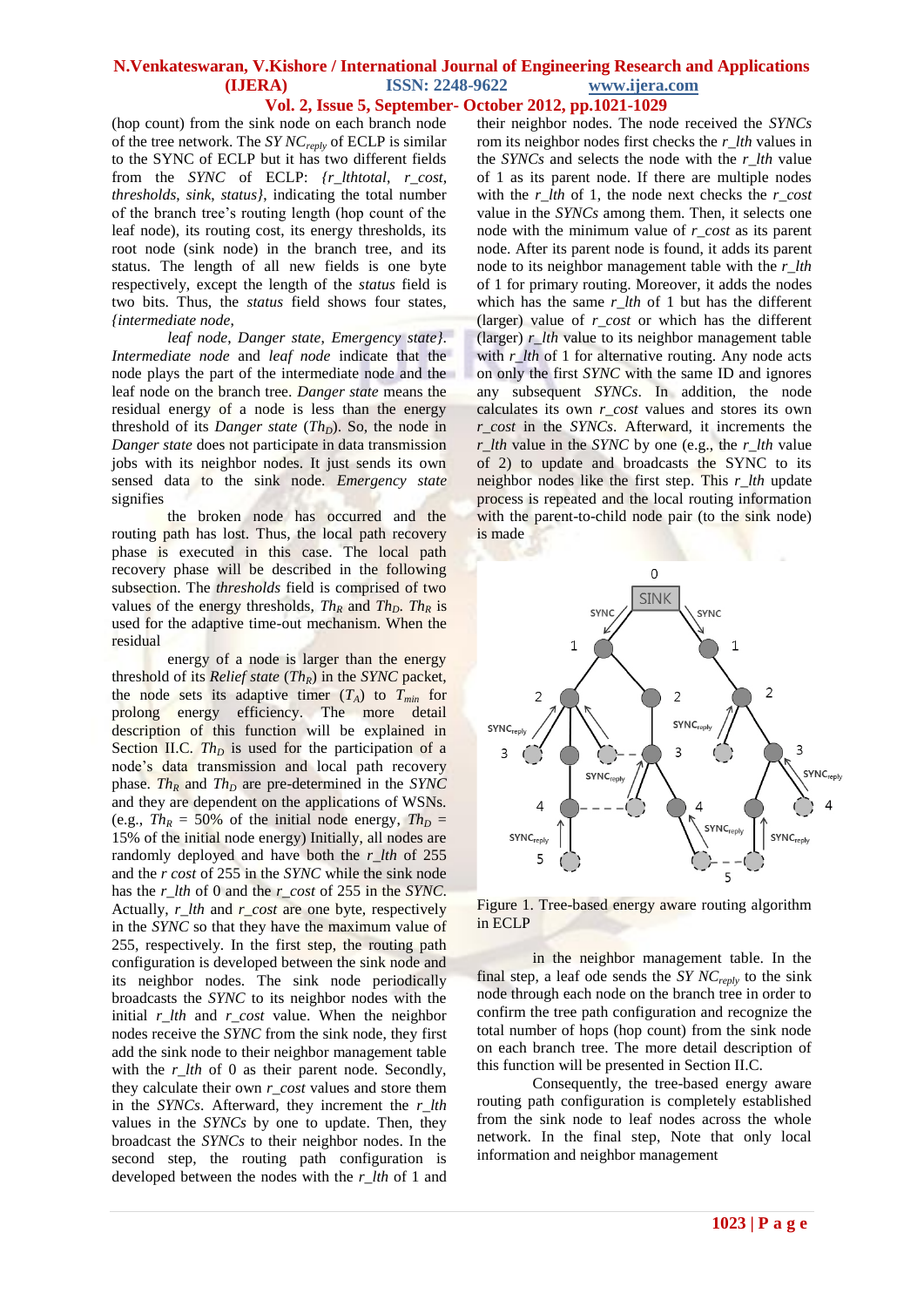(hop count) from the sink node on each branch node of the tree network. The *SY NCreply* of ECLP is similar to the SYNC of ECLP but it has two different fields from the *SYNC* of ECLP: *{r\_lthtotal*, *r\_cost*, *thresholds*, *sink*, *status}*, indicating the total number of the branch tree's routing length (hop count of the leaf node), its routing cost, its energy thresholds, its root node (sink node) in the branch tree, and its status. The length of all new fields is one byte respectively, except the length of the *status* field is two bits. Thus, the *status* field shows four states, *{intermediate node*,

*leaf node*, *Danger state*, *Emergency state}*. *Intermediate node* and *leaf node* indicate that the node plays the part of the intermediate node and the leaf node on the branch tree. *Danger state* means the residual energy of a node is less than the energy threshold of its *Danger state*  $(Th<sub>D</sub>)$ . So, the node in *Danger state* does not participate in data transmission jobs with its neighbor nodes. It just sends its own sensed data to the sink node. *Emergency state*  signifies

the broken node has occurred and the routing path has lost. Thus, the local path recovery phase is executed in this case. The local path recovery phase will be described in the following subsection. The *thresholds* field is comprised of two values of the energy thresholds,  $Th_R$  and  $Th_D$ .  $Th_R$  is used for the adaptive time-out mechanism. When the residual

energy of a node is larger than the energy threshold of its *Relief state*  $(Th_R)$  in the *SYNC* packet, the node sets its adaptive timer  $(T_A)$  to  $T_{min}$  for prolong energy efficiency. The more detail description of this function will be explained in Section II.C.  $Th<sub>D</sub>$  is used for the participation of a node's data transmission and local path recovery phase. *Th<sub>R</sub>* and *Th<sub>D</sub>* are pre-determined in the *SYNC* and they are dependent on the applications of WSNs. (e.g.,  $Th_R = 50\%$  of the initial node energy,  $Th_D =$ 15% of the initial node energy) Initially, all nodes are randomly deployed and have both the *r\_lth* of 255 and the *r cost* of 255 in the *SYNC* while the sink node has the *r\_lth* of 0 and the *r\_cost* of 255 in the *SYNC*. Actually, *r\_lth* and *r\_cost* are one byte, respectively in the *SYNC* so that they have the maximum value of 255, respectively. In the first step, the routing path configuration is developed between the sink node and its neighbor nodes. The sink node periodically broadcasts the *SYNC* to its neighbor nodes with the initial *r\_lth* and *r\_cost* value. When the neighbor nodes receive the *SYNC* from the sink node, they first add the sink node to their neighbor management table with the *r\_lth* of 0 as their parent node. Secondly, they calculate their own *r\_cost* values and store them in the *SYNCs*. Afterward, they increment the *r\_lth* values in the *SYNCs* by one to update. Then, they broadcast the *SYNCs* to their neighbor nodes. In the second step, the routing path configuration is developed between the nodes with the *r\_lth* of 1 and

their neighbor nodes. The node received the *SYNCs* rom its neighbor nodes first checks the *r\_lth* values in the *SYNCs* and selects the node with the *r\_lth* value of 1 as its parent node. If there are multiple nodes with the *r\_lth* of 1, the node next checks the *r\_cost* value in the *SYNCs* among them. Then, it selects one node with the minimum value of *r\_cost* as its parent node. After its parent node is found, it adds its parent node to its neighbor management table with the *r\_lth* of 1 for primary routing. Moreover, it adds the nodes which has the same *r\_lth* of 1 but has the different (larger) value of *r\_cost* or which has the different (larger) *r\_lth* value to its neighbor management table with  $r_l$ *lth* of 1 for alternative routing. Any node acts on only the first *SYNC* with the same ID and ignores any subsequent *SYNCs*. In addition, the node calculates its own *r\_cost* values and stores its own *r\_cost* in the *SYNCs*. Afterward, it increments the *r\_lth* value in the *SYNC* by one (e.g., the *r\_lth* value of 2) to update and broadcasts the SYNC to its neighbor nodes like the first step. This *r\_lth* update process is repeated and the local routing information with the parent-to-child node pair (to the sink node) is made



Figure 1. Tree-based energy aware routing algorithm in ECLP

in the neighbor management table. In the final step, a leaf ode sends the *SY NCreply* to the sink node through each node on the branch tree in order to confirm the tree path configuration and recognize the total number of hops (hop count) from the sink node on each branch tree. The more detail description of this function will be presented in Section II.C.

Consequently, the tree-based energy aware routing path configuration is completely established from the sink node to leaf nodes across the whole network. In the final step, Note that only local information and neighbor management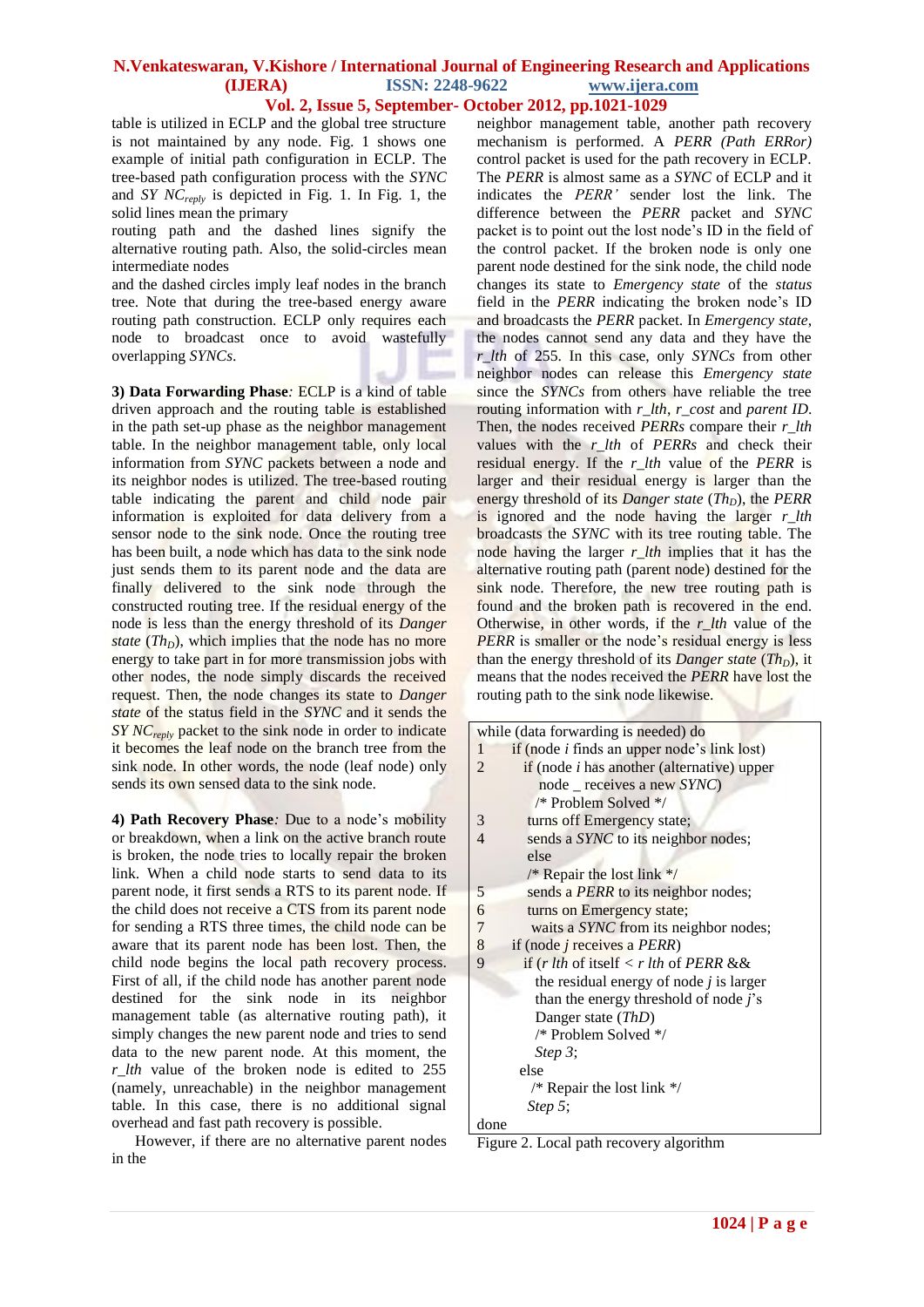table is utilized in ECLP and the global tree structure is not maintained by any node. Fig. 1 shows one example of initial path configuration in ECLP. The tree-based path configuration process with the *SYNC*  and *SY NCreply* is depicted in Fig. 1. In Fig. 1, the solid lines mean the primary

routing path and the dashed lines signify the alternative routing path. Also, the solid-circles mean intermediate nodes

and the dashed circles imply leaf nodes in the branch tree. Note that during the tree-based energy aware routing path construction. ECLP only requires each node to broadcast once to avoid wastefully overlapping *SYNCs*.

**3) Data Forwarding Phase***:* ECLP is a kind of table driven approach and the routing table is established in the path set-up phase as the neighbor management table. In the neighbor management table, only local information from *SYNC* packets between a node and its neighbor nodes is utilized. The tree-based routing table indicating the parent and child node pair information is exploited for data delivery from a sensor node to the sink node. Once the routing tree has been built, a node which has data to the sink node just sends them to its parent node and the data are finally delivered to the sink node through the constructed routing tree. If the residual energy of the node is less than the energy threshold of its *Danger state*  $(Th<sub>D</sub>)$ , which implies that the node has no more energy to take part in for more transmission jobs with other nodes, the node simply discards the received request. Then, the node changes its state to *Danger state* of the status field in the *SYNC* and it sends the *SY NC<sub>reply</sub>* packet to the sink node in order to indicate it becomes the leaf node on the branch tree from the sink node. In other words, the node (leaf node) only sends its own sensed data to the sink node.

**4) Path Recovery Phase***:* Due to a node's mobility or breakdown, when a link on the active branch route is broken, the node tries to locally repair the broken link. When a child node starts to send data to its parent node, it first sends a RTS to its parent node. If the child does not receive a CTS from its parent node for sending a RTS three times, the child node can be aware that its parent node has been lost. Then, the child node begins the local path recovery process. First of all, if the child node has another parent node destined for the sink node in its neighbor management table (as alternative routing path), it simply changes the new parent node and tries to send data to the new parent node. At this moment, the *r\_lth* value of the broken node is edited to 255 (namely, unreachable) in the neighbor management table. In this case, there is no additional signal overhead and fast path recovery is possible.

 However, if there are no alternative parent nodes in the

neighbor management table, another path recovery mechanism is performed. A *PERR (Path ERRor)*  control packet is used for the path recovery in ECLP. The *PERR* is almost same as a *SYNC* of ECLP and it indicates the *PERR'* sender lost the link. The difference between the *PERR* packet and *SYNC*  packet is to point out the lost node's ID in the field of the control packet. If the broken node is only one parent node destined for the sink node, the child node changes its state to *Emergency state* of the *status*  field in the *PERR* indicating the broken node's ID and broadcasts the *PERR* packet. In *Emergency state*, the nodes cannot send any data and they have the *r\_lth* of 255. In this case, only *SYNCs* from other neighbor nodes can release this *Emergency state*  since the *SYNCs* from others have reliable the tree routing information with *r\_lth*, *r\_cost* and *parent ID*. Then, the nodes received *PERRs* compare their *r\_lth*  values with the *r\_lth* of *PERRs* and check their residual energy. If the *r\_lth* value of the *PERR* is larger and their residual energy is larger than the energy threshold of its *Danger state* (*Th<sub>D</sub>*), the *PERR* is ignored and the node having the larger *r\_lth*  broadcasts the *SYNC* with its tree routing table. The node having the larger *r\_lth* implies that it has the alternative routing path (parent node) destined for the sink node. Therefore, the new tree routing path is found and the broken path is recovered in the end. Otherwise, in other words, if the *r\_lth* value of the *PERR* is smaller or the node's residual energy is less than the energy threshold of its *Danger state*  $(Th<sub>D</sub>)$ , it means that the nodes received the *PERR* have lost the routing path to the sink node likewise.

| while (data forwarding is needed) do |                                                            |  |  |
|--------------------------------------|------------------------------------------------------------|--|--|
| 1                                    | if (node $i$ finds an upper node's link lost)              |  |  |
| 2                                    | if (node $i$ has another (alternative) upper               |  |  |
| node receives a new SYNC)            |                                                            |  |  |
|                                      | $\frac{1}{2}$ Problem Solved $\frac{1}{2}$                 |  |  |
| $\mathfrak{Z}$                       | turns off Emergency state;                                 |  |  |
| $\overline{4}$                       | sends a SYNC to its neighbor nodes;                        |  |  |
|                                      | else                                                       |  |  |
|                                      | /* Repair the lost link $*/$                               |  |  |
| 5                                    | sends a <i>PERR</i> to its neighbor nodes;                 |  |  |
| 6                                    | turns on Emergency state;                                  |  |  |
| 7                                    | waits a <i>SYNC</i> from its neighbor nodes;               |  |  |
| 8                                    | if (node <i>j</i> receives a $PERR$ )                      |  |  |
| 9                                    | if $(r$ lth of itself $\langle r \rangle$ r lth of PERR && |  |  |
|                                      | the residual energy of node $j$ is larger                  |  |  |
|                                      | than the energy threshold of node $j$ 's                   |  |  |
|                                      | Danger state (ThD)                                         |  |  |
|                                      | /* Problem Solved */                                       |  |  |
|                                      | Step $3$ ;                                                 |  |  |
|                                      | else                                                       |  |  |
|                                      | /* Repair the lost link $*/$                               |  |  |
|                                      | Step 5;                                                    |  |  |
| done                                 |                                                            |  |  |

Figure 2. Local path recovery algorithm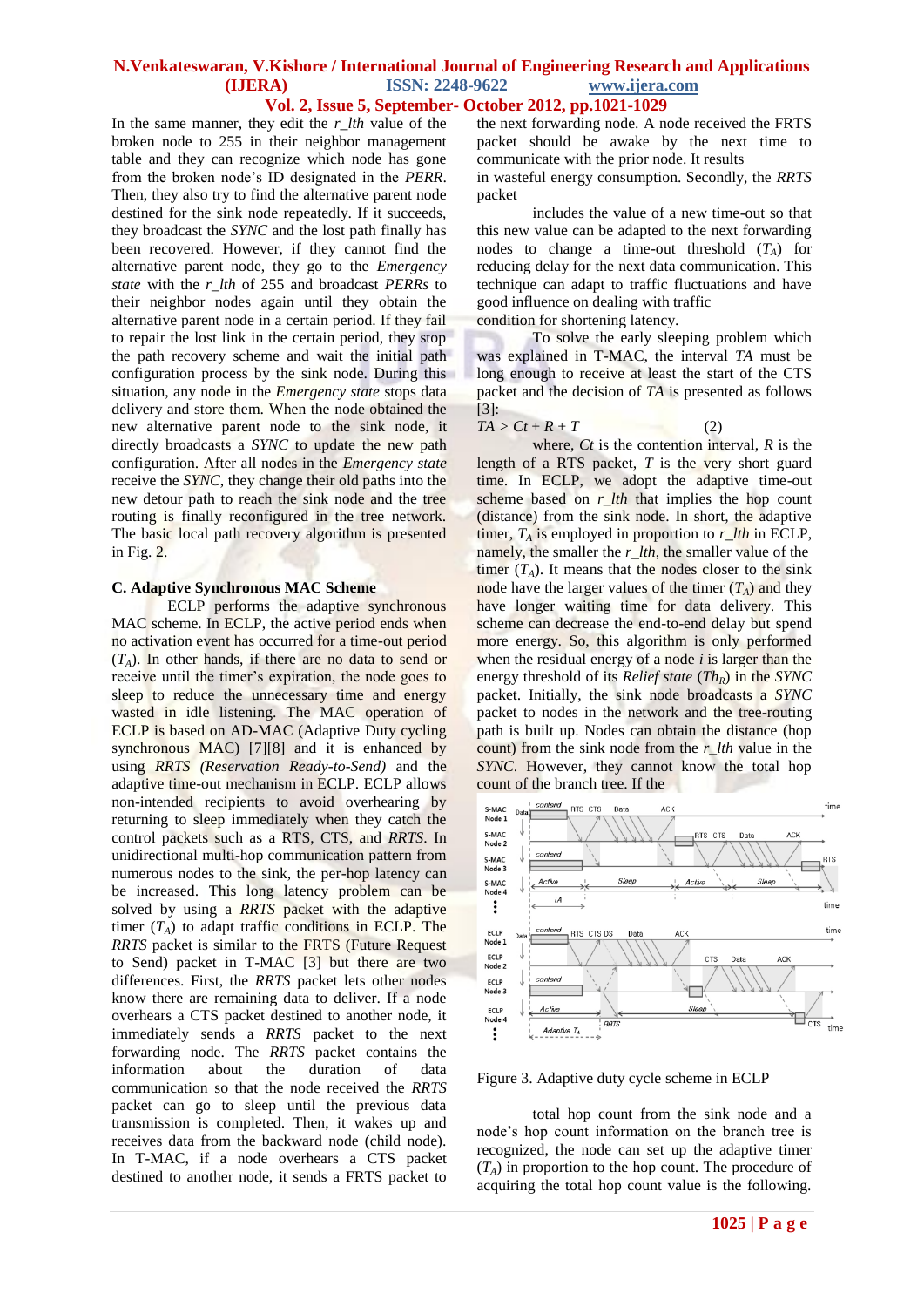In the same manner, they edit the *r\_lth* value of the broken node to 255 in their neighbor management table and they can recognize which node has gone from the broken node's ID designated in the *PERR*. Then, they also try to find the alternative parent node destined for the sink node repeatedly. If it succeeds, they broadcast the *SYNC* and the lost path finally has been recovered. However, if they cannot find the alternative parent node, they go to the *Emergency state* with the *r\_lth* of 255 and broadcast *PERRs* to their neighbor nodes again until they obtain the alternative parent node in a certain period. If they fail to repair the lost link in the certain period, they stop the path recovery scheme and wait the initial path configuration process by the sink node. During this situation, any node in the *Emergency state* stops data delivery and store them. When the node obtained the new alternative parent node to the sink node, it directly broadcasts a *SYNC* to update the new path configuration. After all nodes in the *Emergency state*  receive the *SYNC*, they change their old paths into the new detour path to reach the sink node and the tree routing is finally reconfigured in the tree network. The basic local path recovery algorithm is presented in Fig. 2.

# **C. Adaptive Synchronous MAC Scheme**

ECLP performs the adaptive synchronous MAC scheme. In ECLP, the active period ends when no activation event has occurred for a time-out period  $(T_A)$ . In other hands, if there are no data to send or receive until the timer's expiration, the node goes to sleep to reduce the unnecessary time and energy wasted in idle listening. The MAC operation of ECLP is based on AD-MAC (Adaptive Duty cycling synchronous MAC) [7][8] and it is enhanced by using *RRTS (Reservation Ready-to-Send)* and the adaptive time-out mechanism in ECLP. ECLP allows non-intended recipients to avoid overhearing by returning to sleep immediately when they catch the control packets such as a RTS, CTS, and *RRTS*. In unidirectional multi-hop communication pattern from numerous nodes to the sink, the per-hop latency can be increased. This long latency problem can be solved by using a *RRTS* packet with the adaptive timer  $(T_A)$  to adapt traffic conditions in ECLP. The *RRTS* packet is similar to the FRTS (Future Request to Send) packet in T-MAC [3] but there are two differences. First, the *RRTS* packet lets other nodes know there are remaining data to deliver. If a node overhears a CTS packet destined to another node, it immediately sends a *RRTS* packet to the next forwarding node. The *RRTS* packet contains the information about the duration of data communication so that the node received the *RRTS*  packet can go to sleep until the previous data transmission is completed. Then, it wakes up and receives data from the backward node (child node). In T-MAC, if a node overhears a CTS packet destined to another node, it sends a FRTS packet to

the next forwarding node. A node received the FRTS packet should be awake by the next time to communicate with the prior node. It results

in wasteful energy consumption. Secondly, the *RRTS*  packet

includes the value of a new time-out so that this new value can be adapted to the next forwarding nodes to change a time-out threshold  $(T_A)$  for reducing delay for the next data communication. This technique can adapt to traffic fluctuations and have good influence on dealing with traffic condition for shortening latency.

To solve the early sleeping problem which was explained in T-MAC, the interval *TA* must be long enough to receive at least the start of the CTS packet and the decision of *TA* is presented as follows [3]:

 $TA > Ct + R + T$  (2)

where, *Ct* is the contention interval, *R* is the length of a RTS packet, *T* is the very short guard time. In ECLP, we adopt the adaptive time-out scheme based on  $r_l$ *th* that implies the hop count (distance) from the sink node. In short, the adaptive timer,  $T_A$  is employed in proportion to  $r_l$  *lth* in ECLP, namely, the smaller the *r\_lth*, the smaller value of the timer  $(T_A)$ . It means that the nodes closer to the sink node have the larger values of the timer  $(T_A)$  and they have longer waiting time for data delivery. This scheme can decrease the end-to-end delay but spend more energy. So, this algorithm is only performed when the residual energy of a node *i* is larger than the energy threshold of its *Relief state* (*ThR*) in the *SYNC*  packet. Initially, the sink node broadcasts a *SYNC* packet to nodes in the network and the tree-routing path is built up. Nodes can obtain the distance (hop count) from the sink node from the *r\_lth* value in the *SYNC*. However, they cannot know the total hop count of the branch tree. If the



Figure 3. Adaptive duty cycle scheme in ECLP

total hop count from the sink node and a node's hop count information on the branch tree is recognized, the node can set up the adaptive timer  $(T_A)$  in proportion to the hop count. The procedure of acquiring the total hop count value is the following.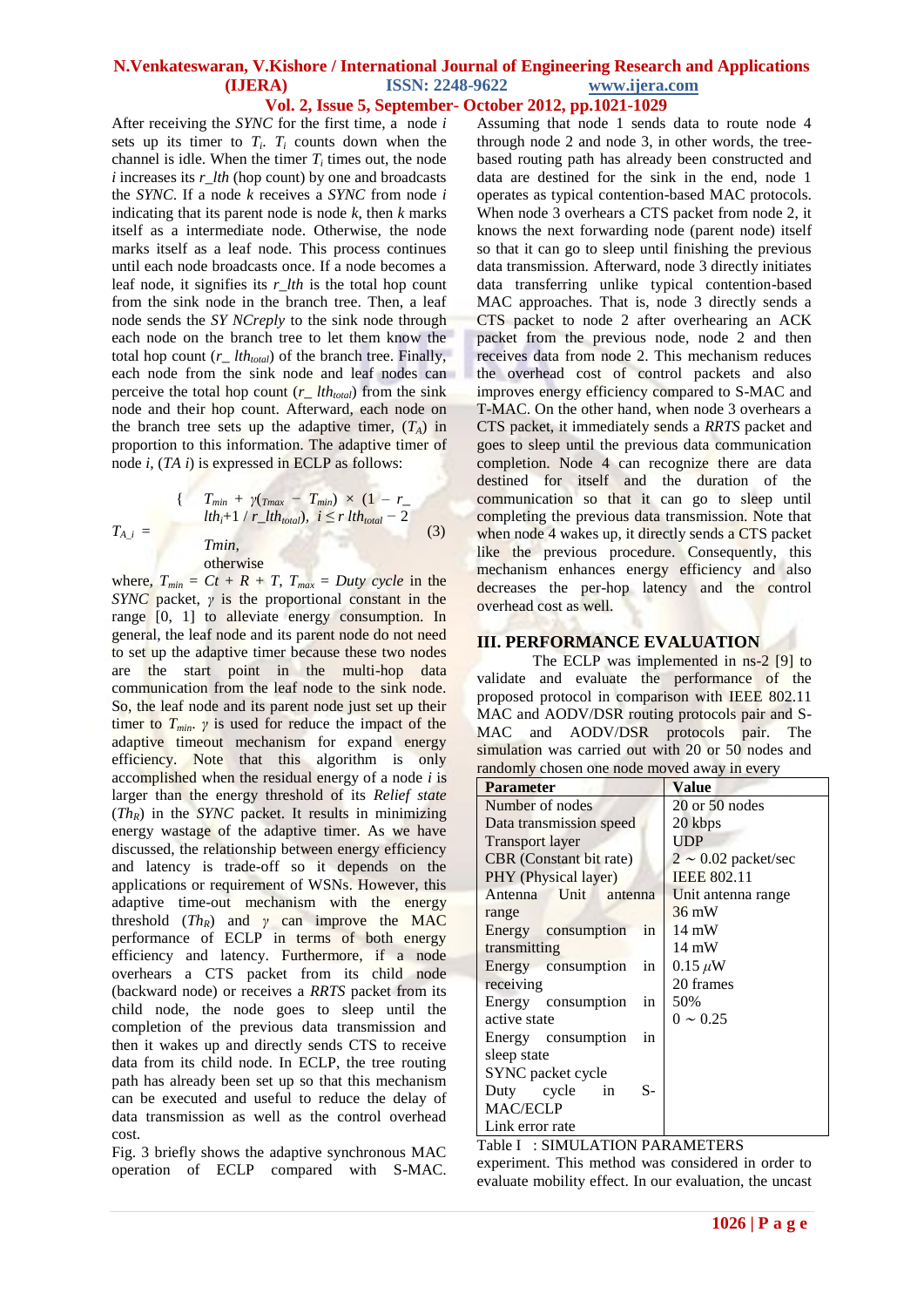After receiving the *SYNC* for the first time, a node *i*  sets up its timer to  $T_i$ .  $T_i$  counts down when the channel is idle. When the timer  $T_i$  times out, the node *i* increases its  $r_l$ *lth* (hop count) by one and broadcasts the *SYNC*. If a node *k* receives a *SYNC* from node *i*  indicating that its parent node is node  $k$ , then  $k$  marks itself as a intermediate node. Otherwise, the node marks itself as a leaf node. This process continues until each node broadcasts once. If a node becomes a leaf node, it signifies its *r\_lth* is the total hop count from the sink node in the branch tree. Then, a leaf node sends the *SY NCreply* to the sink node through each node on the branch tree to let them know the total hop count (*r\_ lthtotal*) of the branch tree. Finally, each node from the sink node and leaf nodes can perceive the total hop count  $(r_1 lth_{total})$  from the sink node and their hop count. Afterward, each node on the branch tree sets up the adaptive timer,  $(T_A)$  in proportion to this information. The adaptive timer of node *i*, (*TA i*) is expressed in ECLP as follows:

$$
T_{A_i} = \n\begin{cases}\nT_{min} + \gamma (T_{max} - T_{min}) \times (1 - r_{\text{at}}) \\
\text{tth}_{i} + 1 / r_{\text{at}} \times (1 - r_{\text{at}}) \\
T_{min}, \\
\text{otherwise}\n\end{cases}
$$
\n(3)

where,  $T_{min} = Ct + R + T$ ,  $T_{max} = Duty$  cycle in the *SYNC* packet, *γ* is the proportional constant in the range [0, 1] to alleviate energy consumption. In general, the leaf node and its parent node do not need to set up the adaptive timer because these two nodes are the start point in the multi-hop data communication from the leaf node to the sink node. So, the leaf node and its parent node just set up their timer to  $T_{min}$ . *γ* is used for reduce the impact of the adaptive timeout mechanism for expand energy efficiency. Note that this algorithm is only accomplished when the residual energy of a node *i* is larger than the energy threshold of its *Relief state*   $(Th_R)$  in the *SYNC* packet. It results in minimizing energy wastage of the adaptive timer. As we have discussed, the relationship between energy efficiency and latency is trade-off so it depends on the applications or requirement of WSNs. However, this adaptive time-out mechanism with the energy threshold  $(Th_R)$  and  $\gamma$  can improve the MAC performance of ECLP in terms of both energy efficiency and latency. Furthermore, if a node overhears a CTS packet from its child node (backward node) or receives a *RRTS* packet from its child node, the node goes to sleep until the completion of the previous data transmission and then it wakes up and directly sends CTS to receive data from its child node. In ECLP, the tree routing path has already been set up so that this mechanism can be executed and useful to reduce the delay of data transmission as well as the control overhead cost.

Fig. 3 briefly shows the adaptive synchronous MAC operation of ECLP compared with S-MAC.

Assuming that node 1 sends data to route node 4 through node 2 and node 3, in other words, the treebased routing path has already been constructed and data are destined for the sink in the end, node 1 operates as typical contention-based MAC protocols. When node 3 overhears a CTS packet from node 2, it knows the next forwarding node (parent node) itself so that it can go to sleep until finishing the previous data transmission. Afterward, node 3 directly initiates data transferring unlike typical contention-based MAC approaches. That is, node 3 directly sends a CTS packet to node 2 after overhearing an ACK packet from the previous node, node 2 and then receives data from node 2. This mechanism reduces the overhead cost of control packets and also improves energy efficiency compared to S-MAC and T-MAC. On the other hand, when node 3 overhears a CTS packet, it immediately sends a *RRTS* packet and goes to sleep until the previous data communication completion. Node 4 can recognize there are data destined for itself and the duration of the communication so that it can go to sleep until completing the previous data transmission. Note that when node 4 wakes up, it directly sends a CTS packet like the previous procedure. Consequently, this mechanism enhances energy efficiency and also decreases the per-hop latency and the control overhead cost as well.

# **III. PERFORMANCE EVALUATION**

The ECLP was implemented in ns-2 [9] to validate and evaluate the performance of the proposed protocol in comparison with IEEE 802.11 MAC and AODV/DSR routing protocols pair and S-MAC and AODV/DSR protocols pair. The simulation was carried out with 20 or 50 nodes and randomly chosen one node moved away in every

| <b>Parameter</b>                    | <b>Value</b>             |  |  |
|-------------------------------------|--------------------------|--|--|
| Number of nodes                     | $20$ or $50$ nodes       |  |  |
| Data transmission speed             | 20 kbps                  |  |  |
| <b>Transport layer</b>              | UDP                      |  |  |
| <b>CBR</b> (Constant bit rate)      | $2 \sim 0.02$ packet/sec |  |  |
| PHY (Physical layer)                | <b>IEEE 802.11</b>       |  |  |
| Antenna Unit antenna                | Unit antenna range       |  |  |
| range                               | $36 \text{ mW}$          |  |  |
| Energy consumption<br>1n            | $14 \text{ mW}$          |  |  |
| transmitting                        | $14 \text{ mW}$          |  |  |
| Energy consumption<br>in            | $0.15 \mu W$             |  |  |
| receiving                           | 20 frames                |  |  |
| Energy consumption<br><sub>in</sub> | 50%                      |  |  |
| active state                        | $0 \sim 0.25$            |  |  |
| Energy consumption<br>in            |                          |  |  |
| sleep state                         |                          |  |  |
| SYNC packet cycle                   |                          |  |  |
| Duty cycle in<br>S-                 |                          |  |  |
| <b>MAC/ECLP</b>                     |                          |  |  |
| Link error rate                     |                          |  |  |

Table I : SIMULATION PARAMETERS experiment. This method was considered in order to evaluate mobility effect. In our evaluation, the uncast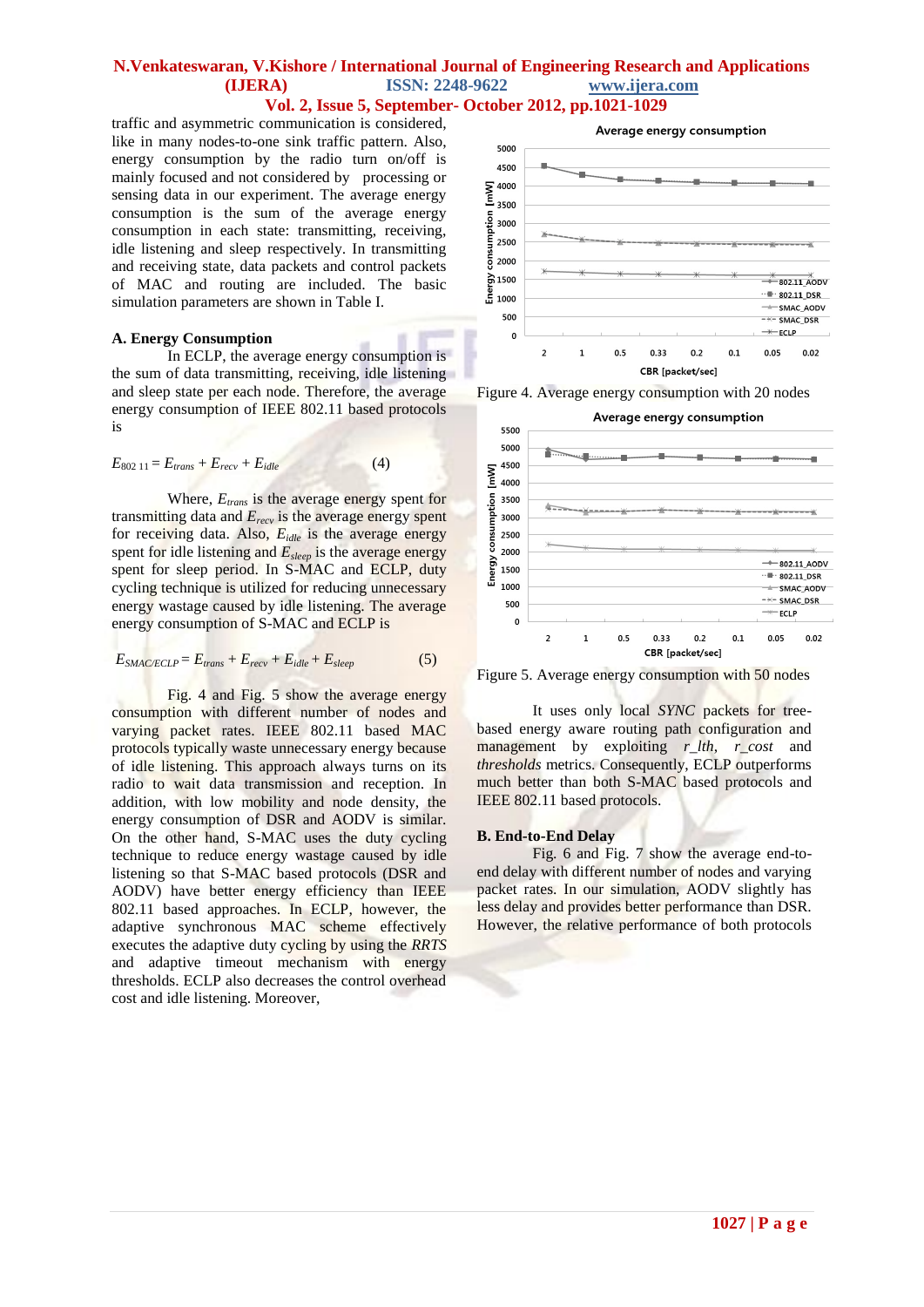traffic and asymmetric communication is considered, like in many nodes-to-one sink traffic pattern. Also, energy consumption by the radio turn on/off is mainly focused and not considered by processing or sensing data in our experiment. The average energy consumption is the sum of the average energy consumption in each state: transmitting, receiving, idle listening and sleep respectively. In transmitting and receiving state, data packets and control packets of MAC and routing are included. The basic simulation parameters are shown in Table I.

#### **A. Energy Consumption**

In ECLP, the average energy consumption is the sum of data transmitting, receiving, idle listening and sleep state per each node. Therefore, the average energy consumption of IEEE 802.11 based protocols is

$$
E_{802\ 11} = E_{trans} + E_{recv} + E_{idle}
$$
 (4)

Where, *Etrans* is the average energy spent for transmitting data and *Erecv* is the average energy spent for receiving data. Also, *Eidle* is the average energy spent for idle listening and *Esleep* is the average energy spent for sleep period. In S-MAC and ECLP, duty cycling technique is utilized for reducing unnecessary energy wastage caused by idle listening. The average energy consumption of S-MAC and ECLP is

$$
E_{SMAC/ECLP} = E_{trans} + E_{recv} + E_{idle} + E_{sleep}
$$
 (5)

Fig. 4 and Fig. 5 show the average energy consumption with different number of nodes and varying packet rates. IEEE 802.11 based MAC protocols typically waste unnecessary energy because of idle listening. This approach always turns on its radio to wait data transmission and reception. In addition, with low mobility and node density, the energy consumption of DSR and AODV is similar. On the other hand, S-MAC uses the duty cycling technique to reduce energy wastage caused by idle listening so that S-MAC based protocols (DSR and AODV) have better energy efficiency than IEEE 802.11 based approaches. In ECLP, however, the adaptive synchronous MAC scheme effectively executes the adaptive duty cycling by using the *RRTS*  and adaptive timeout mechanism with energy thresholds. ECLP also decreases the control overhead cost and idle listening. Moreover,



Figure 4. Average energy consumption with 20 nodes



Figure 5. Average energy consumption with 50 nodes

It uses only local *SYNC* packets for treebased energy aware routing path configuration and management by exploiting *r\_lth*, *r\_cost* and *thresholds* metrics. Consequently, ECLP outperforms much better than both S-MAC based protocols and IEEE 802.11 based protocols.

#### **B. End-to-End Delay**

Fig. 6 and Fig. 7 show the average end-toend delay with different number of nodes and varying packet rates. In our simulation, AODV slightly has less delay and provides better performance than DSR. However, the relative performance of both protocols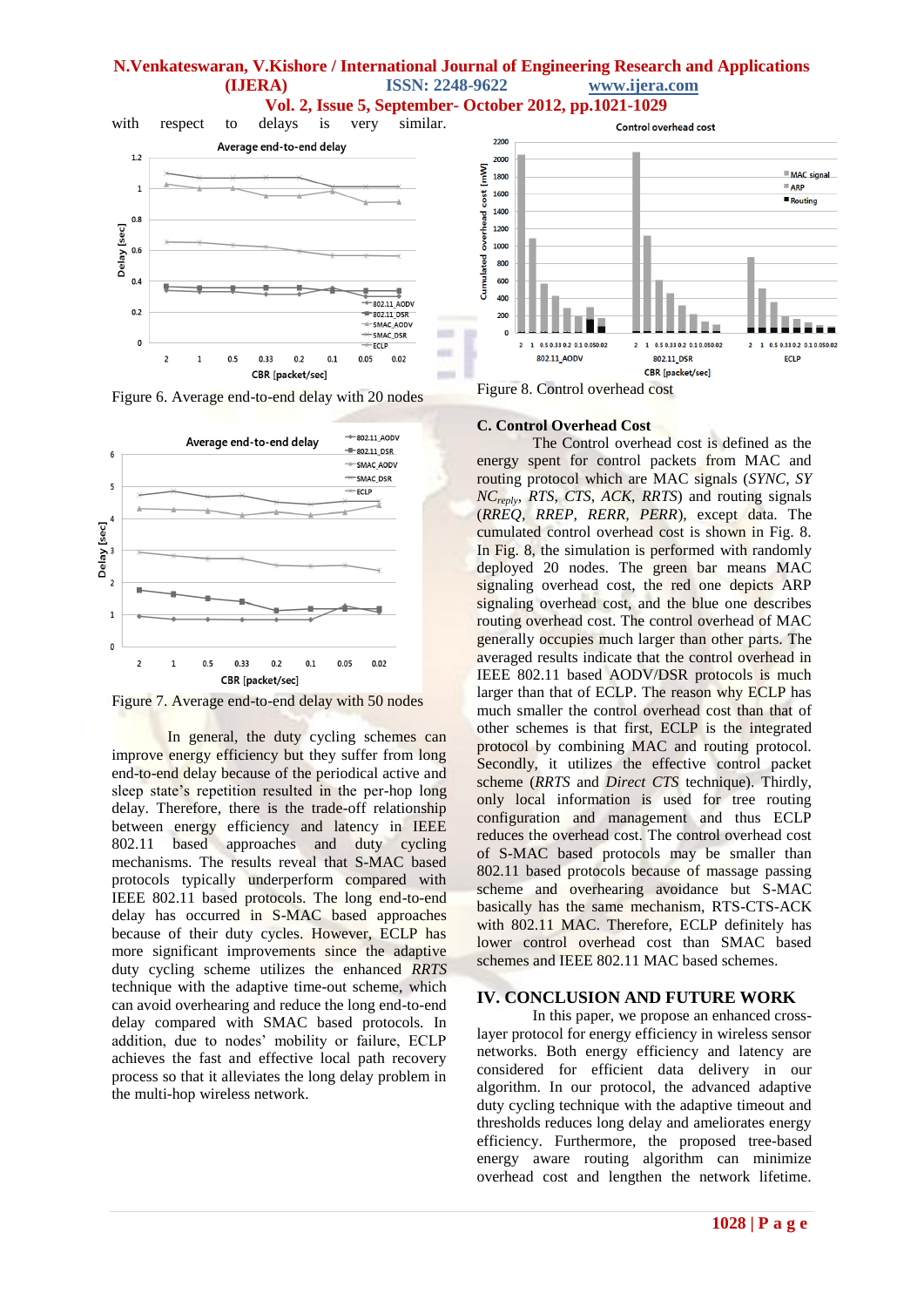

Figure 6. Average end-to-end delay with 20 nodes



Figure 7. Average end-to-end delay with 50 nodes

In general, the duty cycling schemes can improve energy efficiency but they suffer from long end-to-end delay because of the periodical active and sleep state's repetition resulted in the per-hop long delay. Therefore, there is the trade-off relationship between energy efficiency and latency in IEEE 802.11 based approaches and duty cycling mechanisms. The results reveal that S-MAC based protocols typically underperform compared with IEEE 802.11 based protocols. The long end-to-end delay has occurred in S-MAC based approaches because of their duty cycles. However, ECLP has more significant improvements since the adaptive duty cycling scheme utilizes the enhanced *RRTS*  technique with the adaptive time-out scheme, which can avoid overhearing and reduce the long end-to-end delay compared with SMAC based protocols. In addition, due to nodes' mobility or failure, ECLP achieves the fast and effective local path recovery process so that it alleviates the long delay problem in the multi-hop wireless network.



Figure 8. Control overhead cost

#### **C. Control Overhead Cost**

The Control overhead cost is defined as the energy spent for control packets from MAC and routing protocol which are MAC signals (*SYNC*, *SY NCreply*, *RTS*, *CTS*, *ACK*, *RRTS*) and routing signals (*RREQ, RREP, RERR, PERR*), except data. The cumulated control overhead cost is shown in Fig. 8. In Fig. 8, the simulation is performed with randomly deployed 20 nodes. The green bar means MAC signaling overhead cost, the red one depicts ARP signaling overhead cost, and the blue one describes routing overhead cost. The control overhead of MAC generally occupies much larger than other parts. The averaged results indicate that the control overhead in IEEE 802.11 based AODV/DSR protocols is much larger than that of ECLP. The reason why ECLP has much smaller the control overhead cost than that of other schemes is that first, ECLP is the integrated protocol by combining MAC and routing protocol. Secondly, it utilizes the effective control packet scheme (*RRTS* and *Direct CTS* technique). Thirdly, only local information is used for tree routing configuration and management and thus ECLP reduces the overhead cost. The control overhead cost of S-MAC based protocols may be smaller than 802.11 based protocols because of massage passing scheme and overhearing avoidance but S-MAC basically has the same mechanism, RTS-CTS-ACK with 802.11 MAC. Therefore, ECLP definitely has lower control overhead cost than SMAC based schemes and IEEE 802.11 MAC based schemes.

## **IV. CONCLUSION AND FUTURE WORK**

In this paper, we propose an enhanced crosslayer protocol for energy efficiency in wireless sensor networks. Both energy efficiency and latency are considered for efficient data delivery in our algorithm. In our protocol, the advanced adaptive duty cycling technique with the adaptive timeout and thresholds reduces long delay and ameliorates energy efficiency. Furthermore, the proposed tree-based energy aware routing algorithm can minimize overhead cost and lengthen the network lifetime.